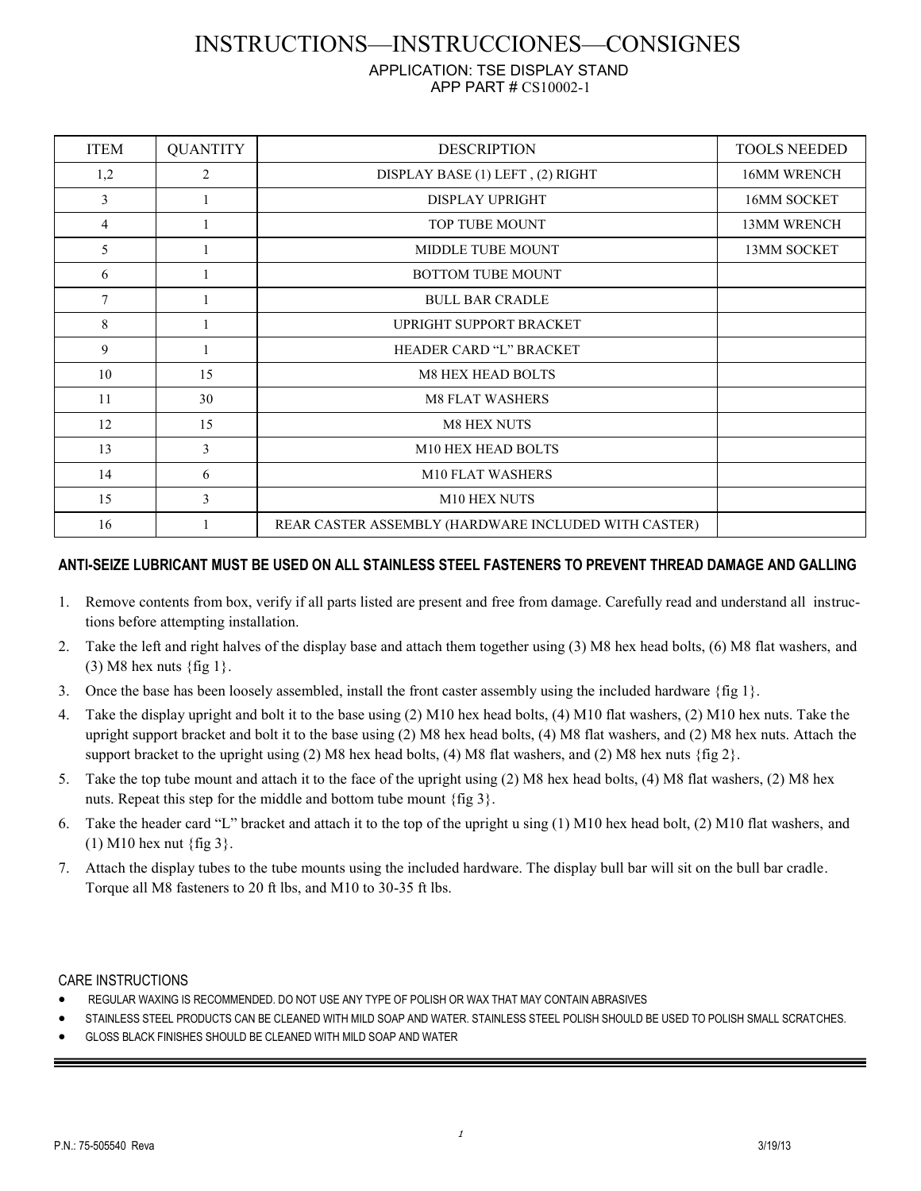## INSTRUCTIONS—INSTRUCCIONES—CONSIGNES

## APPLICATION: TSE DISPLAY STAND APP PART # CS10002-1

| <b>ITEM</b>    | <b>QUANTITY</b> | <b>DESCRIPTION</b>                                   | <b>TOOLS NEEDED</b> |
|----------------|-----------------|------------------------------------------------------|---------------------|
| 1,2            | $\overline{c}$  | DISPLAY BASE (1) LEFT, (2) RIGHT                     | <b>16MM WRENCH</b>  |
| 3              |                 | <b>DISPLAY UPRIGHT</b>                               | 16MM SOCKET         |
| $\overline{4}$ |                 | TOP TUBE MOUNT                                       | <b>13MM WRENCH</b>  |
| 5              |                 | <b>MIDDLE TUBE MOUNT</b>                             | <b>13MM SOCKET</b>  |
| 6              |                 | <b>BOTTOM TUBE MOUNT</b>                             |                     |
| 7              |                 | <b>BULL BAR CRADLE</b>                               |                     |
| 8              |                 | UPRIGHT SUPPORT BRACKET                              |                     |
| 9              |                 | HEADER CARD "L" BRACKET                              |                     |
| 10             | 15              | <b>M8 HEX HEAD BOLTS</b>                             |                     |
| 11             | 30              | <b>M8 FLAT WASHERS</b>                               |                     |
| 12             | 15              | <b>M8 HEX NUTS</b>                                   |                     |
| 13             | 3               | M10 HEX HEAD BOLTS                                   |                     |
| 14             | 6               | M10 FLAT WASHERS                                     |                     |
| 15             | 3               | M10 HEX NUTS                                         |                     |
| 16             |                 | REAR CASTER ASSEMBLY (HARDWARE INCLUDED WITH CASTER) |                     |

## **ANTI-SEIZE LUBRICANT MUST BE USED ON ALL STAINLESS STEEL FASTENERS TO PREVENT THREAD DAMAGE AND GALLING**

- 1. Remove contents from box, verify if all parts listed are present and free from damage. Carefully read and understand all instructions before attempting installation.
- 2. Take the left and right halves of the display base and attach them together using (3) M8 hex head bolts, (6) M8 flat washers, and  $(3)$  M8 hex nuts {fig 1}.
- 3. Once the base has been loosely assembled, install the front caster assembly using the included hardware  $\{\text{fig 1}\}\$ .
- 4. Take the display upright and bolt it to the base using (2) M10 hex head bolts, (4) M10 flat washers, (2) M10 hex nuts. Take the upright support bracket and bolt it to the base using (2) M8 hex head bolts, (4) M8 flat washers, and (2) M8 hex nuts. Attach the support bracket to the upright using (2) M8 hex head bolts, (4) M8 flat washers, and (2) M8 hex nuts {fig 2}.
- 5. Take the top tube mount and attach it to the face of the upright using (2) M8 hex head bolts, (4) M8 flat washers, (2) M8 hex nuts. Repeat this step for the middle and bottom tube mount {fig 3}.
- 6. Take the header card "L" bracket and attach it to the top of the upright u sing (1) M10 hex head bolt, (2) M10 flat washers, and (1) M10 hex nut {fig 3}.
- 7. Attach the display tubes to the tube mounts using the included hardware. The display bull bar will sit on the bull bar cradle. Torque all M8 fasteners to 20 ft lbs, and M10 to 30-35 ft lbs.

## CARE INSTRUCTIONS

- REGULAR WAXING IS RECOMMENDED. DO NOT USE ANY TYPE OF POLISH OR WAX THAT MAY CONTAIN ABRASIVES
- STAINLESS STEEL PRODUCTS CAN BE CLEANED WITH MILD SOAP AND WATER. STAINLESS STEEL POLISH SHOULD BE USED TO POLISH SMALL SCRATCHES.
- GLOSS BLACK FINISHES SHOULD BE CLEANED WITH MILD SOAP AND WATER